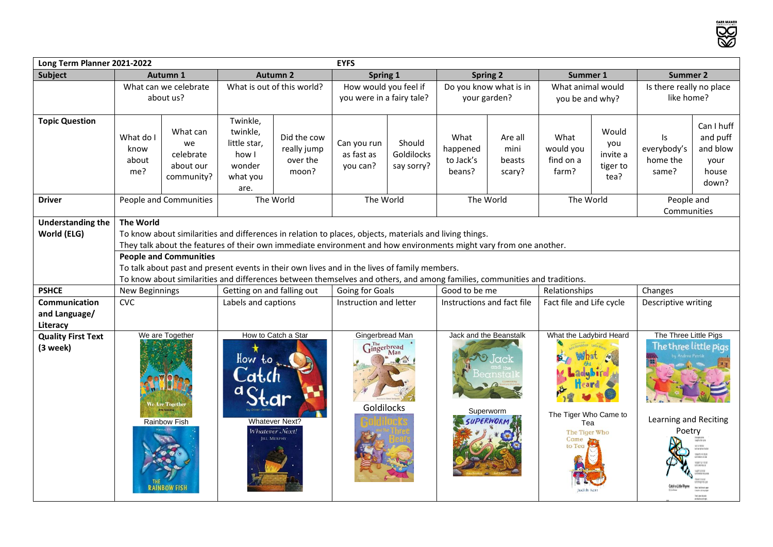**SOS** 

| <b>EYFS</b><br>Long Term Planner 2021-2022 |                                                                                                                           |                                                                                                                                                                                                                              |                                                                                               |                                                 |                                                    |                                    |                                         |                                     |                                                       |                                              |                                                                                   |                                                              |
|--------------------------------------------|---------------------------------------------------------------------------------------------------------------------------|------------------------------------------------------------------------------------------------------------------------------------------------------------------------------------------------------------------------------|-----------------------------------------------------------------------------------------------|-------------------------------------------------|----------------------------------------------------|------------------------------------|-----------------------------------------|-------------------------------------|-------------------------------------------------------|----------------------------------------------|-----------------------------------------------------------------------------------|--------------------------------------------------------------|
| <b>Subject</b>                             | Autumn 1                                                                                                                  |                                                                                                                                                                                                                              | <b>Autumn 2</b>                                                                               |                                                 | Spring 1                                           |                                    | <b>Spring 2</b>                         |                                     | Summer 1                                              |                                              | <b>Summer 2</b>                                                                   |                                                              |
|                                            | What can we celebrate<br>about us?                                                                                        |                                                                                                                                                                                                                              | What is out of this world?                                                                    |                                                 | How would you feel if<br>you were in a fairy tale? |                                    | Do you know what is in<br>your garden?  |                                     | What animal would<br>you be and why?                  |                                              | Is there really no place<br>like home?                                            |                                                              |
| <b>Topic Question</b>                      | What do I<br>know<br>about<br>me?                                                                                         | What can<br>we<br>celebrate<br>about our<br>community?                                                                                                                                                                       | Twinkle,<br>twinkle,<br>little star,<br>how I<br>wonder<br>what you<br>are.                   | Did the cow<br>really jump<br>over the<br>moon? | Can you run<br>as fast as<br>you can?              | Should<br>Goldilocks<br>say sorry? | What<br>happened<br>to Jack's<br>beans? | Are all<br>mini<br>beasts<br>scary? | What<br>would you<br>find on a<br>farm?               | Would<br>you<br>invite a<br>tiger to<br>tea? | Is<br>everybody's<br>home the<br>same?                                            | Can I huff<br>and puff<br>and blow<br>your<br>house<br>down? |
| <b>Driver</b>                              | People and Communities                                                                                                    |                                                                                                                                                                                                                              | The World                                                                                     |                                                 | The World                                          |                                    | The World                               |                                     | The World                                             |                                              | People and<br>Communities                                                         |                                                              |
| <b>Understanding the</b>                   | <b>The World</b>                                                                                                          |                                                                                                                                                                                                                              |                                                                                               |                                                 |                                                    |                                    |                                         |                                     |                                                       |                                              |                                                                                   |                                                              |
| World (ELG)                                |                                                                                                                           | To know about similarities and differences in relation to places, objects, materials and living things.<br>They talk about the features of their own immediate environment and how environments might vary from one another. |                                                                                               |                                                 |                                                    |                                    |                                         |                                     |                                                       |                                              |                                                                                   |                                                              |
|                                            | <b>People and Communities</b>                                                                                             |                                                                                                                                                                                                                              |                                                                                               |                                                 |                                                    |                                    |                                         |                                     |                                                       |                                              |                                                                                   |                                                              |
|                                            | To talk about past and present events in their own lives and in the lives of family members.                              |                                                                                                                                                                                                                              |                                                                                               |                                                 |                                                    |                                    |                                         |                                     |                                                       |                                              |                                                                                   |                                                              |
|                                            | To know about similarities and differences between themselves and others, and among families, communities and traditions. |                                                                                                                                                                                                                              |                                                                                               |                                                 |                                                    |                                    |                                         |                                     |                                                       |                                              |                                                                                   |                                                              |
| <b>PSHCE</b>                               | New Beginnings                                                                                                            |                                                                                                                                                                                                                              | Getting on and falling out                                                                    |                                                 | Going for Goals                                    |                                    | Good to be me                           |                                     | Relationships                                         |                                              | Changes                                                                           |                                                              |
| Communication                              | <b>CVC</b>                                                                                                                |                                                                                                                                                                                                                              | Labels and captions                                                                           |                                                 | Instruction and letter                             |                                    | Instructions and fact file              |                                     | Fact file and Life cycle                              |                                              | Descriptive writing                                                               |                                                              |
| and Language/                              |                                                                                                                           |                                                                                                                                                                                                                              |                                                                                               |                                                 |                                                    |                                    |                                         |                                     |                                                       |                                              |                                                                                   |                                                              |
| Literacy                                   |                                                                                                                           |                                                                                                                                                                                                                              |                                                                                               |                                                 | Gingerbread Man                                    |                                    | Jack and the Beanstalk                  |                                     | What the Ladybird Heard                               |                                              |                                                                                   |                                                              |
| <b>Quality First Text</b><br>(3 week)      | We are Together<br><b>Are Togethe</b><br><b>Rainbow Fish</b>                                                              |                                                                                                                                                                                                                              | How to Catch a Star<br>How to<br><b>Whatever Next?</b><br>Whatever Next!<br><b>ILL MURPHY</b> |                                                 | $\mathbf{G}^{\text{The}}$<br>Goldilocks            |                                    | Superworm                               |                                     | The Tiger Who Came to<br>Tea<br>The Tiger Who<br>Came |                                              | The Three Little Pigs<br>The three little pigs<br>Learning and Reciting<br>Poetry |                                                              |
|                                            |                                                                                                                           |                                                                                                                                                                                                                              |                                                                                               |                                                 |                                                    |                                    |                                         |                                     |                                                       |                                              |                                                                                   |                                                              |